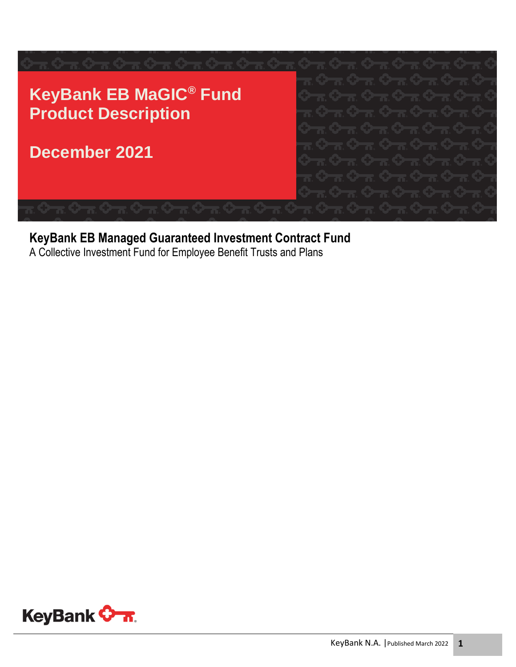

#### **KeyBank EB Managed Guaranteed Investment Contract Fund**

A Collective Investment Fund for Employee Benefit Trusts and Plans

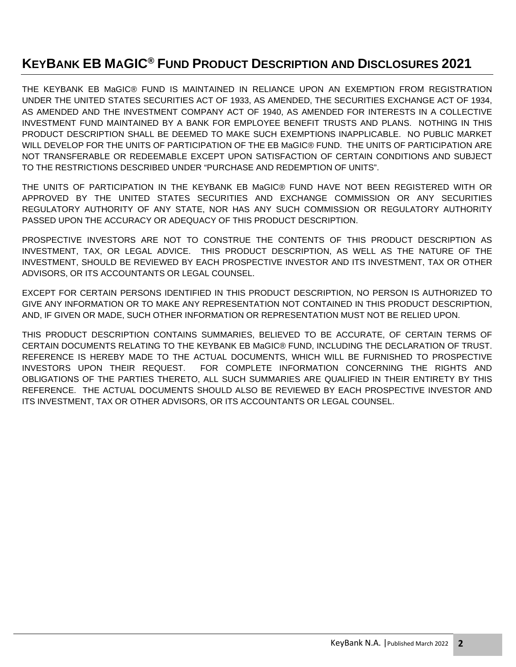#### **KEYBANK EB MAGIC® FUND PRODUCT DESCRIPTION AND DISCLOSURES 2021**

THE KEYBANK EB MaGIC® FUND IS MAINTAINED IN RELIANCE UPON AN EXEMPTION FROM REGISTRATION UNDER THE UNITED STATES SECURITIES ACT OF 1933, AS AMENDED, THE SECURITIES EXCHANGE ACT OF 1934, AS AMENDED AND THE INVESTMENT COMPANY ACT OF 1940, AS AMENDED FOR INTERESTS IN A COLLECTIVE INVESTMENT FUND MAINTAINED BY A BANK FOR EMPLOYEE BENEFIT TRUSTS AND PLANS. NOTHING IN THIS PRODUCT DESCRIPTION SHALL BE DEEMED TO MAKE SUCH EXEMPTIONS INAPPLICABLE. NO PUBLIC MARKET WILL DEVELOP FOR THE UNITS OF PARTICIPATION OF THE EB MaGIC® FUND. THE UNITS OF PARTICIPATION ARE NOT TRANSFERABLE OR REDEEMABLE EXCEPT UPON SATISFACTION OF CERTAIN CONDITIONS AND SUBJECT TO THE RESTRICTIONS DESCRIBED UNDER "PURCHASE AND REDEMPTION OF UNITS".

THE UNITS OF PARTICIPATION IN THE KEYBANK EB MaGIC® FUND HAVE NOT BEEN REGISTERED WITH OR APPROVED BY THE UNITED STATES SECURITIES AND EXCHANGE COMMISSION OR ANY SECURITIES REGULATORY AUTHORITY OF ANY STATE, NOR HAS ANY SUCH COMMISSION OR REGULATORY AUTHORITY PASSED UPON THE ACCURACY OR ADEQUACY OF THIS PRODUCT DESCRIPTION.

PROSPECTIVE INVESTORS ARE NOT TO CONSTRUE THE CONTENTS OF THIS PRODUCT DESCRIPTION AS INVESTMENT, TAX, OR LEGAL ADVICE. THIS PRODUCT DESCRIPTION, AS WELL AS THE NATURE OF THE INVESTMENT, SHOULD BE REVIEWED BY EACH PROSPECTIVE INVESTOR AND ITS INVESTMENT, TAX OR OTHER ADVISORS, OR ITS ACCOUNTANTS OR LEGAL COUNSEL.

EXCEPT FOR CERTAIN PERSONS IDENTIFIED IN THIS PRODUCT DESCRIPTION, NO PERSON IS AUTHORIZED TO GIVE ANY INFORMATION OR TO MAKE ANY REPRESENTATION NOT CONTAINED IN THIS PRODUCT DESCRIPTION, AND, IF GIVEN OR MADE, SUCH OTHER INFORMATION OR REPRESENTATION MUST NOT BE RELIED UPON.

THIS PRODUCT DESCRIPTION CONTAINS SUMMARIES, BELIEVED TO BE ACCURATE, OF CERTAIN TERMS OF CERTAIN DOCUMENTS RELATING TO THE KEYBANK EB MaGIC® FUND, INCLUDING THE DECLARATION OF TRUST. REFERENCE IS HEREBY MADE TO THE ACTUAL DOCUMENTS, WHICH WILL BE FURNISHED TO PROSPECTIVE INVESTORS UPON THEIR REQUEST. FOR COMPLETE INFORMATION CONCERNING THE RIGHTS AND OBLIGATIONS OF THE PARTIES THERETO, ALL SUCH SUMMARIES ARE QUALIFIED IN THEIR ENTIRETY BY THIS REFERENCE. THE ACTUAL DOCUMENTS SHOULD ALSO BE REVIEWED BY EACH PROSPECTIVE INVESTOR AND ITS INVESTMENT, TAX OR OTHER ADVISORS, OR ITS ACCOUNTANTS OR LEGAL COUNSEL.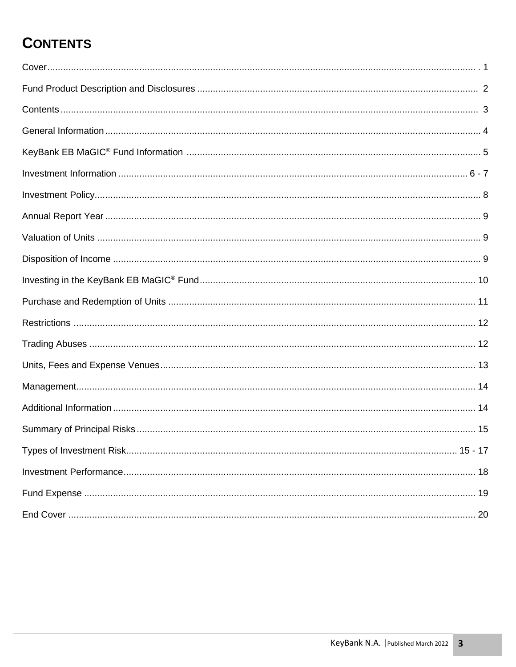# **CONTENTS**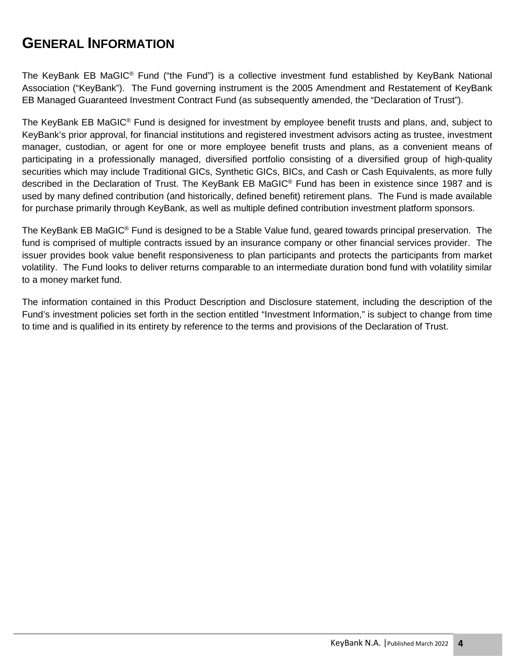#### **GENERAL INFORMATION**

The KeyBank EB MaGIC<sup>®</sup> Fund ("the Fund") is a collective investment fund established by KeyBank National Association ("KeyBank"). The Fund governing instrument is the 2005 Amendment and Restatement of KeyBank EB Managed Guaranteed Investment Contract Fund (as subsequently amended, the "Declaration of Trust").

The KeyBank EB MaGIC<sup>®</sup> Fund is designed for investment by employee benefit trusts and plans, and, subject to KeyBank's prior approval, for financial institutions and registered investment advisors acting as trustee, investment manager, custodian, or agent for one or more employee benefit trusts and plans, as a convenient means of participating in a professionally managed, diversified portfolio consisting of a diversified group of high-quality securities which may include Traditional GICs, Synthetic GICs, BICs, and Cash or Cash Equivalents, as more fully described in the Declaration of Trust. The KeyBank EB MaGIC® Fund has been in existence since 1987 and is used by many defined contribution (and historically, defined benefit) retirement plans. The Fund is made available for purchase primarily through KeyBank, as well as multiple defined contribution investment platform sponsors.

The KeyBank EB MaGIC<sup>®</sup> Fund is designed to be a Stable Value fund, geared towards principal preservation. The fund is comprised of multiple contracts issued by an insurance company or other financial services provider. The issuer provides book value benefit responsiveness to plan participants and protects the participants from market volatility. The Fund looks to deliver returns comparable to an intermediate duration bond fund with volatility similar to a money market fund.

The information contained in this Product Description and Disclosure statement, including the description of the Fund's investment policies set forth in the section entitled "Investment Information," is subject to change from time to time and is qualified in its entirety by reference to the terms and provisions of the Declaration of Trust.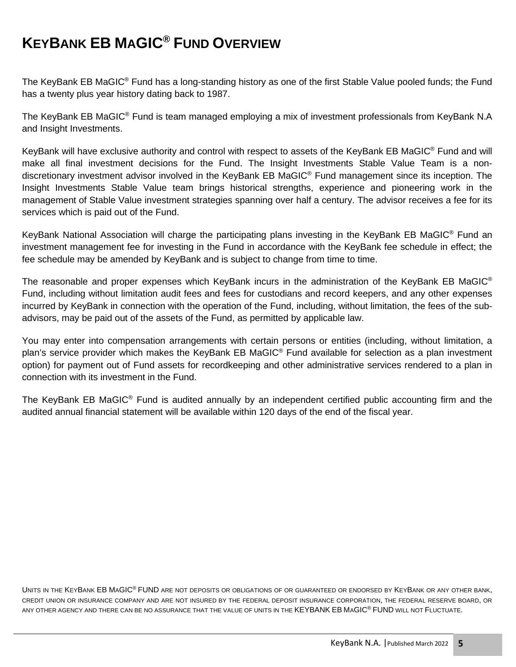# **KEYBANK EB MAGIC® FUND OVERVIEW**

The KeyBank EB MaGIC® Fund has a long-standing history as one of the first Stable Value pooled funds; the Fund has a twenty plus year history dating back to 1987.

The KeyBank EB MaGIC<sup>®</sup> Fund is team managed employing a mix of investment professionals from KeyBank N.A and Insight Investments.

KeyBank will have exclusive authority and control with respect to assets of the KeyBank EB MaGIC<sup>®</sup> Fund and will make all final investment decisions for the Fund. The Insight Investments Stable Value Team is a nondiscretionary investment advisor involved in the KeyBank EB MaGIC® Fund management since its inception. The Insight Investments Stable Value team brings historical strengths, experience and pioneering work in the management of Stable Value investment strategies spanning over half a century. The advisor receives a fee for its services which is paid out of the Fund.

KeyBank National Association will charge the participating plans investing in the KeyBank EB MaGIC<sup>®</sup> Fund an investment management fee for investing in the Fund in accordance with the KeyBank fee schedule in effect; the fee schedule may be amended by KeyBank and is subject to change from time to time.

The reasonable and proper expenses which KeyBank incurs in the administration of the KeyBank EB MaGIC<sup>®</sup> Fund, including without limitation audit fees and fees for custodians and record keepers, and any other expenses incurred by KeyBank in connection with the operation of the Fund, including, without limitation, the fees of the subadvisors, may be paid out of the assets of the Fund, as permitted by applicable law.

You may enter into compensation arrangements with certain persons or entities (including, without limitation, a plan's service provider which makes the KeyBank EB MaGIC® Fund available for selection as a plan investment option) for payment out of Fund assets for recordkeeping and other administrative services rendered to a plan in connection with its investment in the Fund.

The KeyBank EB MaGIC<sup>®</sup> Fund is audited annually by an independent certified public accounting firm and the audited annual financial statement will be available within 120 days of the end of the fiscal year.

UNITS IN THE KEYBANK EB MAGIC<sup>®</sup> FUND ARE NOT DEPOSITS OR OBLIGATIONS OF OR GUARANTEED OR ENDORSED BY KEYBANK OR ANY OTHER BANK, CREDIT UNION OR INSURANCE COMPANY AND ARE NOT INSURED BY THE FEDERAL DEPOSIT INSURANCE CORPORATION, THE FEDERAL RESERVE BOARD, OR ANY OTHER AGENCY AND THERE CAN BE NO ASSURANCE THAT THE VALUE OF UNITS IN THE KEYBANK EB MAGIC® FUND WILL NOT FLUCTUATE.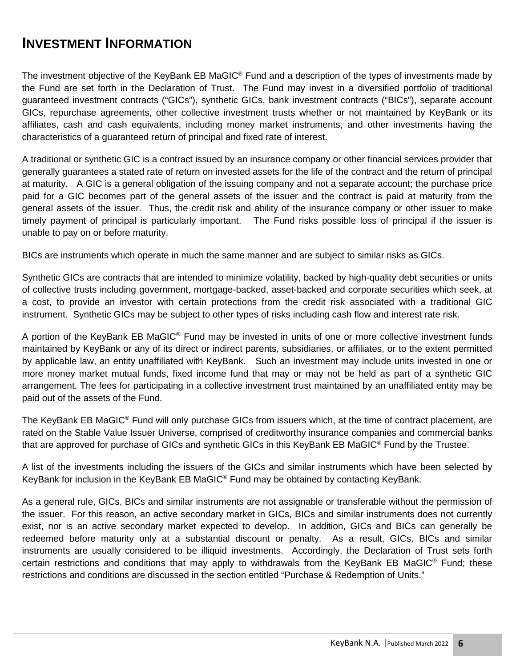#### **INVESTMENT INFORMATION**

The investment objective of the KeyBank EB MaGIC<sup>®</sup> Fund and a description of the types of investments made by the Fund are set forth in the Declaration of Trust. The Fund may invest in a diversified portfolio of traditional guaranteed investment contracts ("GICs"), synthetic GICs, bank investment contracts ("BICs"), separate account GICs, repurchase agreements, other collective investment trusts whether or not maintained by KeyBank or its affiliates, cash and cash equivalents, including money market instruments, and other investments having the characteristics of a guaranteed return of principal and fixed rate of interest.

A traditional or synthetic GIC is a contract issued by an insurance company or other financial services provider that generally guarantees a stated rate of return on invested assets for the life of the contract and the return of principal at maturity. A GIC is a general obligation of the issuing company and not a separate account; the purchase price paid for a GIC becomes part of the general assets of the issuer and the contract is paid at maturity from the general assets of the issuer. Thus, the credit risk and ability of the insurance company or other issuer to make timely payment of principal is particularly important. The Fund risks possible loss of principal if the issuer is unable to pay on or before maturity.

BICs are instruments which operate in much the same manner and are subject to similar risks as GICs.

Synthetic GICs are contracts that are intended to minimize volatility, backed by high-quality debt securities or units of collective trusts including government, mortgage-backed, asset-backed and corporate securities which seek, at a cost, to provide an investor with certain protections from the credit risk associated with a traditional GIC instrument. Synthetic GICs may be subject to other types of risks including cash flow and interest rate risk.

A portion of the KeyBank EB MaGIC<sup>®</sup> Fund may be invested in units of one or more collective investment funds maintained by KeyBank or any of its direct or indirect parents, subsidiaries, or affiliates, or to the extent permitted by applicable law, an entity unaffiliated with KeyBank. Such an investment may include units invested in one or more money market mutual funds, fixed income fund that may or may not be held as part of a synthetic GIC arrangement. The fees for participating in a collective investment trust maintained by an unaffiliated entity may be paid out of the assets of the Fund.

The KeyBank EB MaGIC<sup>®</sup> Fund will only purchase GICs from issuers which, at the time of contract placement, are rated on the Stable Value Issuer Universe, comprised of creditworthy insurance companies and commercial banks that are approved for purchase of GICs and synthetic GICs in this KeyBank EB MaGIC<sup>®</sup> Fund by the Trustee.

A list of the investments including the issuers of the GICs and similar instruments which have been selected by KeyBank for inclusion in the KeyBank EB MaGIC<sup>®</sup> Fund may be obtained by contacting KeyBank.

As a general rule, GICs, BICs and similar instruments are not assignable or transferable without the permission of the issuer. For this reason, an active secondary market in GICs, BICs and similar instruments does not currently exist, nor is an active secondary market expected to develop. In addition, GICs and BICs can generally be redeemed before maturity only at a substantial discount or penalty. As a result, GICs, BICs and similar instruments are usually considered to be illiquid investments. Accordingly, the Declaration of Trust sets forth certain restrictions and conditions that may apply to withdrawals from the KeyBank EB MaGIC® Fund; these restrictions and conditions are discussed in the section entitled "Purchase & Redemption of Units."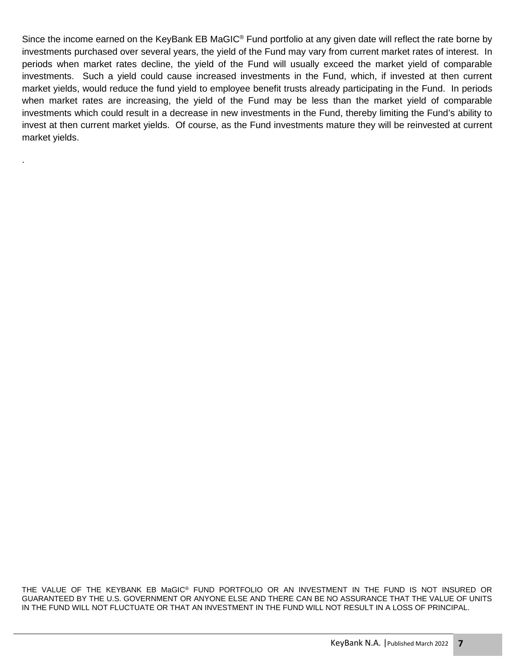Since the income earned on the KeyBank EB MaGIC<sup>®</sup> Fund portfolio at any given date will reflect the rate borne by investments purchased over several years, the yield of the Fund may vary from current market rates of interest. In periods when market rates decline, the yield of the Fund will usually exceed the market yield of comparable investments. Such a yield could cause increased investments in the Fund, which, if invested at then current market yields, would reduce the fund yield to employee benefit trusts already participating in the Fund. In periods when market rates are increasing, the yield of the Fund may be less than the market yield of comparable investments which could result in a decrease in new investments in the Fund, thereby limiting the Fund's ability to invest at then current market yields. Of course, as the Fund investments mature they will be reinvested at current market yields.

.

THE VALUE OF THE KEYBANK EB MaGIC® FUND PORTFOLIO OR AN INVESTMENT IN THE FUND IS NOT INSURED OR GUARANTEED BY THE U.S. GOVERNMENT OR ANYONE ELSE AND THERE CAN BE NO ASSURANCE THAT THE VALUE OF UNITS IN THE FUND WILL NOT FLUCTUATE OR THAT AN INVESTMENT IN THE FUND WILL NOT RESULT IN A LOSS OF PRINCIPAL.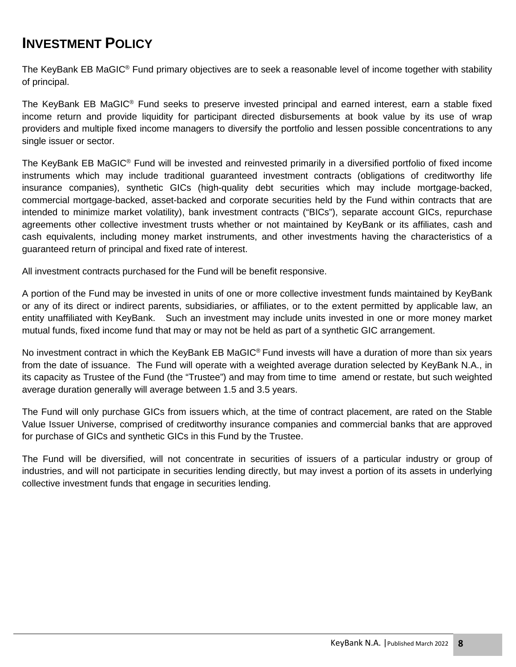#### **INVESTMENT POLICY**

The KeyBank EB MaGIC<sup>®</sup> Fund primary objectives are to seek a reasonable level of income together with stability of principal.

The KeyBank EB MaGIC® Fund seeks to preserve invested principal and earned interest, earn a stable fixed income return and provide liquidity for participant directed disbursements at book value by its use of wrap providers and multiple fixed income managers to diversify the portfolio and lessen possible concentrations to any single issuer or sector.

The KeyBank EB MaGIC® Fund will be invested and reinvested primarily in a diversified portfolio of fixed income instruments which may include traditional guaranteed investment contracts (obligations of creditworthy life insurance companies), synthetic GICs (high-quality debt securities which may include mortgage-backed, commercial mortgage-backed, asset-backed and corporate securities held by the Fund within contracts that are intended to minimize market volatility), bank investment contracts ("BICs"), separate account GICs, repurchase agreements other collective investment trusts whether or not maintained by KeyBank or its affiliates, cash and cash equivalents, including money market instruments, and other investments having the characteristics of a guaranteed return of principal and fixed rate of interest.

All investment contracts purchased for the Fund will be benefit responsive.

A portion of the Fund may be invested in units of one or more collective investment funds maintained by KeyBank or any of its direct or indirect parents, subsidiaries, or affiliates, or to the extent permitted by applicable law, an entity unaffiliated with KeyBank. Such an investment may include units invested in one or more money market mutual funds, fixed income fund that may or may not be held as part of a synthetic GIC arrangement.

No investment contract in which the KeyBank EB MaGIC® Fund invests will have a duration of more than six years from the date of issuance. The Fund will operate with a weighted average duration selected by KeyBank N.A., in its capacity as Trustee of the Fund (the "Trustee") and may from time to time amend or restate, but such weighted average duration generally will average between 1.5 and 3.5 years.

The Fund will only purchase GICs from issuers which, at the time of contract placement, are rated on the Stable Value Issuer Universe, comprised of creditworthy insurance companies and commercial banks that are approved for purchase of GICs and synthetic GICs in this Fund by the Trustee.

The Fund will be diversified, will not concentrate in securities of issuers of a particular industry or group of industries, and will not participate in securities lending directly, but may invest a portion of its assets in underlying collective investment funds that engage in securities lending.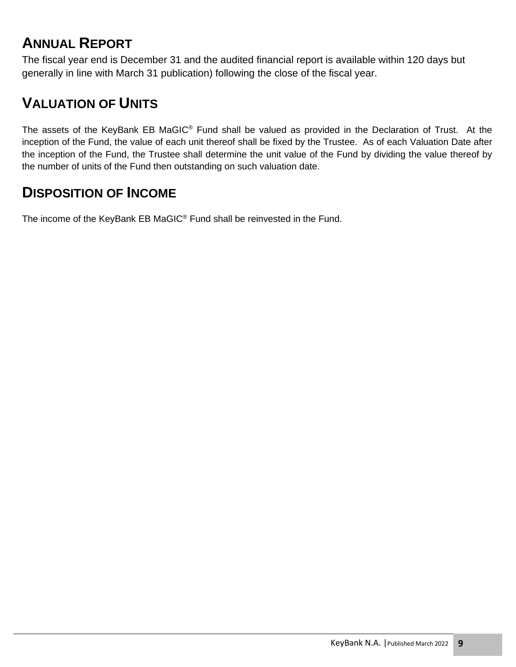# **ANNUAL REPORT**

The fiscal year end is December 31 and the audited financial report is available within 120 days but generally in line with March 31 publication) following the close of the fiscal year.

# **VALUATION OF UNITS**

The assets of the KeyBank EB MaGIC® Fund shall be valued as provided in the Declaration of Trust. At the inception of the Fund, the value of each unit thereof shall be fixed by the Trustee. As of each Valuation Date after the inception of the Fund, the Trustee shall determine the unit value of the Fund by dividing the value thereof by the number of units of the Fund then outstanding on such valuation date.

# **DISPOSITION OF INCOME**

The income of the KeyBank EB MaGIC<sup>®</sup> Fund shall be reinvested in the Fund.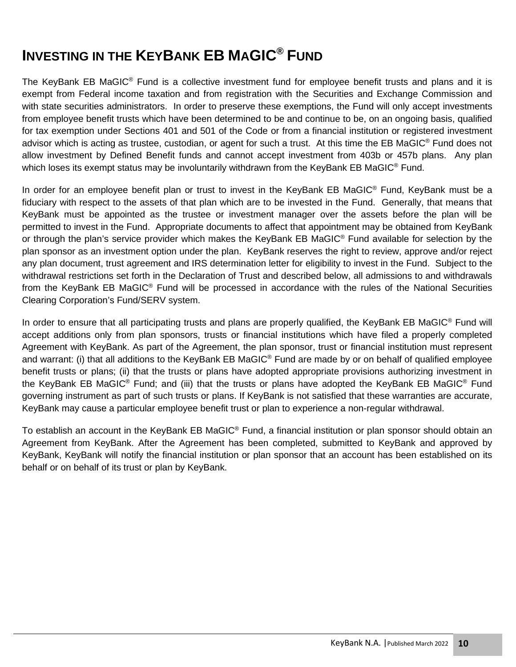# **INVESTING IN THE KEYBANK EB MAGIC® FUND**

The KeyBank EB MaGIC<sup>®</sup> Fund is a collective investment fund for employee benefit trusts and plans and it is exempt from Federal income taxation and from registration with the Securities and Exchange Commission and with state securities administrators. In order to preserve these exemptions, the Fund will only accept investments from employee benefit trusts which have been determined to be and continue to be, on an ongoing basis, qualified for tax exemption under Sections 401 and 501 of the Code or from a financial institution or registered investment advisor which is acting as trustee, custodian, or agent for such a trust. At this time the EB MaGIC® Fund does not allow investment by Defined Benefit funds and cannot accept investment from 403b or 457b plans. Any plan which loses its exempt status may be involuntarily withdrawn from the KeyBank EB MaGIC<sup>®</sup> Fund.

In order for an employee benefit plan or trust to invest in the KeyBank EB MaGIC® Fund, KeyBank must be a fiduciary with respect to the assets of that plan which are to be invested in the Fund. Generally, that means that KeyBank must be appointed as the trustee or investment manager over the assets before the plan will be permitted to invest in the Fund. Appropriate documents to affect that appointment may be obtained from KeyBank or through the plan's service provider which makes the KeyBank EB MaGIC® Fund available for selection by the plan sponsor as an investment option under the plan. KeyBank reserves the right to review, approve and/or reject any plan document, trust agreement and IRS determination letter for eligibility to invest in the Fund. Subject to the withdrawal restrictions set forth in the Declaration of Trust and described below, all admissions to and withdrawals from the KeyBank EB MaGIC® Fund will be processed in accordance with the rules of the National Securities Clearing Corporation's Fund/SERV system.

In order to ensure that all participating trusts and plans are properly qualified, the KeyBank EB MaGIC<sup>®</sup> Fund will accept additions only from plan sponsors, trusts or financial institutions which have filed a properly completed Agreement with KeyBank. As part of the Agreement, the plan sponsor, trust or financial institution must represent and warrant: (i) that all additions to the KeyBank EB MaGIC® Fund are made by or on behalf of qualified employee benefit trusts or plans; (ii) that the trusts or plans have adopted appropriate provisions authorizing investment in the KeyBank EB MaGIC<sup>®</sup> Fund; and (iii) that the trusts or plans have adopted the KeyBank EB MaGIC<sup>®</sup> Fund governing instrument as part of such trusts or plans. If KeyBank is not satisfied that these warranties are accurate, KeyBank may cause a particular employee benefit trust or plan to experience a non-regular withdrawal.

To establish an account in the KeyBank EB MaGIC® Fund, a financial institution or plan sponsor should obtain an Agreement from KeyBank. After the Agreement has been completed, submitted to KeyBank and approved by KeyBank, KeyBank will notify the financial institution or plan sponsor that an account has been established on its behalf or on behalf of its trust or plan by KeyBank.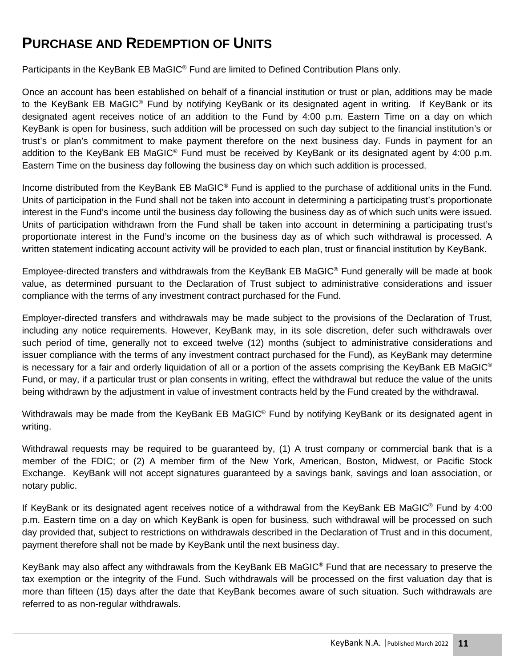# **PURCHASE AND REDEMPTION OF UNITS**

Participants in the KeyBank EB MaGIC<sup>®</sup> Fund are limited to Defined Contribution Plans only.

Once an account has been established on behalf of a financial institution or trust or plan, additions may be made to the KeyBank EB MaGIC<sup>®</sup> Fund by notifying KeyBank or its designated agent in writing. If KeyBank or its designated agent receives notice of an addition to the Fund by 4:00 p.m. Eastern Time on a day on which KeyBank is open for business, such addition will be processed on such day subject to the financial institution's or trust's or plan's commitment to make payment therefore on the next business day. Funds in payment for an addition to the KeyBank EB MaGIC<sup>®</sup> Fund must be received by KeyBank or its designated agent by 4:00 p.m. Eastern Time on the business day following the business day on which such addition is processed.

Income distributed from the KeyBank EB MaGIC<sup>®</sup> Fund is applied to the purchase of additional units in the Fund. Units of participation in the Fund shall not be taken into account in determining a participating trust's proportionate interest in the Fund's income until the business day following the business day as of which such units were issued. Units of participation withdrawn from the Fund shall be taken into account in determining a participating trust's proportionate interest in the Fund's income on the business day as of which such withdrawal is processed. A written statement indicating account activity will be provided to each plan, trust or financial institution by KeyBank.

Employee-directed transfers and withdrawals from the KeyBank EB MaGIC® Fund generally will be made at book value, as determined pursuant to the Declaration of Trust subject to administrative considerations and issuer compliance with the terms of any investment contract purchased for the Fund.

Employer-directed transfers and withdrawals may be made subject to the provisions of the Declaration of Trust, including any notice requirements. However, KeyBank may, in its sole discretion, defer such withdrawals over such period of time, generally not to exceed twelve (12) months (subject to administrative considerations and issuer compliance with the terms of any investment contract purchased for the Fund), as KeyBank may determine is necessary for a fair and orderly liquidation of all or a portion of the assets comprising the KeyBank EB MaGIC<sup>®</sup> Fund, or may, if a particular trust or plan consents in writing, effect the withdrawal but reduce the value of the units being withdrawn by the adjustment in value of investment contracts held by the Fund created by the withdrawal.

Withdrawals may be made from the KeyBank EB MaGIC<sup>®</sup> Fund by notifying KeyBank or its designated agent in writing.

Withdrawal requests may be required to be guaranteed by, (1) A trust company or commercial bank that is a member of the FDIC; or (2) A member firm of the New York, American, Boston, Midwest, or Pacific Stock Exchange. KeyBank will not accept signatures guaranteed by a savings bank, savings and loan association, or notary public.

If KeyBank or its designated agent receives notice of a withdrawal from the KeyBank EB MaGIC® Fund by 4:00 p.m. Eastern time on a day on which KeyBank is open for business, such withdrawal will be processed on such day provided that, subject to restrictions on withdrawals described in the Declaration of Trust and in this document, payment therefore shall not be made by KeyBank until the next business day.

KeyBank may also affect any withdrawals from the KeyBank EB MaGIC® Fund that are necessary to preserve the tax exemption or the integrity of the Fund. Such withdrawals will be processed on the first valuation day that is more than fifteen (15) days after the date that KeyBank becomes aware of such situation. Such withdrawals are referred to as non-regular withdrawals.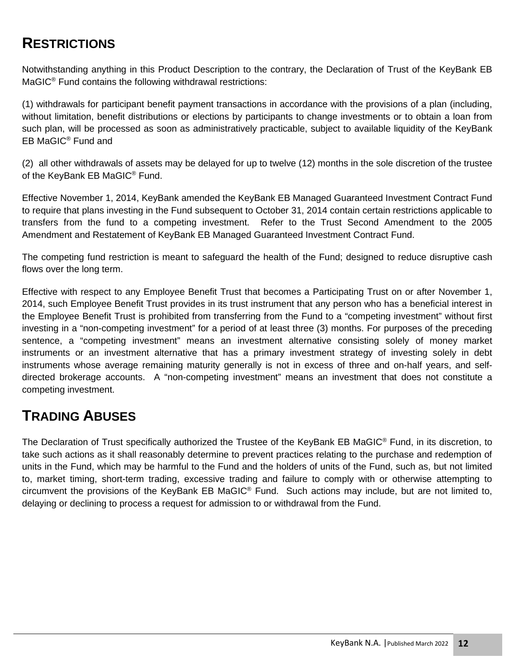# **RESTRICTIONS**

Notwithstanding anything in this Product Description to the contrary, the Declaration of Trust of the KeyBank EB MaGIC<sup>®</sup> Fund contains the following withdrawal restrictions:

(1) withdrawals for participant benefit payment transactions in accordance with the provisions of a plan (including, without limitation, benefit distributions or elections by participants to change investments or to obtain a loan from such plan, will be processed as soon as administratively practicable, subject to available liquidity of the KeyBank EB MaGIC® Fund and

(2) all other withdrawals of assets may be delayed for up to twelve (12) months in the sole discretion of the trustee of the KeyBank EB MaGIC<sup>®</sup> Fund.

Effective November 1, 2014, KeyBank amended the KeyBank EB Managed Guaranteed Investment Contract Fund to require that plans investing in the Fund subsequent to October 31, 2014 contain certain restrictions applicable to transfers from the fund to a competing investment. Refer to the Trust Second Amendment to the 2005 Amendment and Restatement of KeyBank EB Managed Guaranteed Investment Contract Fund.

The competing fund restriction is meant to safeguard the health of the Fund; designed to reduce disruptive cash flows over the long term.

Effective with respect to any Employee Benefit Trust that becomes a Participating Trust on or after November 1, 2014, such Employee Benefit Trust provides in its trust instrument that any person who has a beneficial interest in the Employee Benefit Trust is prohibited from transferring from the Fund to a "competing investment" without first investing in a "non-competing investment" for a period of at least three (3) months. For purposes of the preceding sentence, a "competing investment" means an investment alternative consisting solely of money market instruments or an investment alternative that has a primary investment strategy of investing solely in debt instruments whose average remaining maturity generally is not in excess of three and on-half years, and selfdirected brokerage accounts. A "non-competing investment" means an investment that does not constitute a competing investment.

## **TRADING ABUSES**

The Declaration of Trust specifically authorized the Trustee of the KeyBank EB MaGIC<sup>®</sup> Fund, in its discretion, to take such actions as it shall reasonably determine to prevent practices relating to the purchase and redemption of units in the Fund, which may be harmful to the Fund and the holders of units of the Fund, such as, but not limited to, market timing, short-term trading, excessive trading and failure to comply with or otherwise attempting to circumvent the provisions of the KeyBank EB MaGIC<sup>®</sup> Fund. Such actions may include, but are not limited to, delaying or declining to process a request for admission to or withdrawal from the Fund.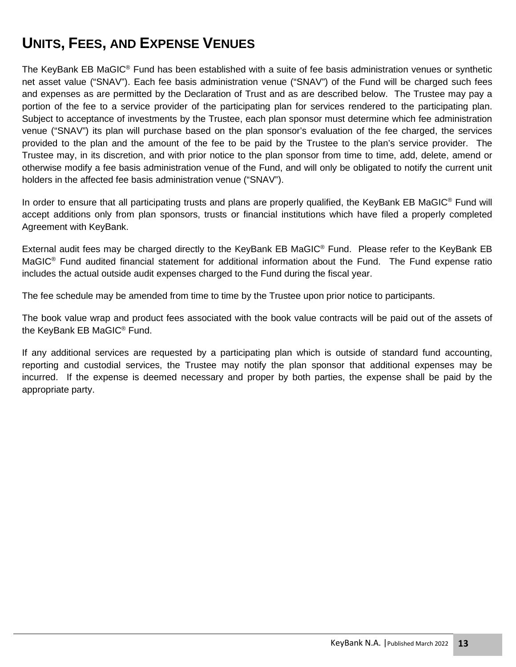# **UNITS, FEES, AND EXPENSE VENUES**

The KeyBank EB MaGIC<sup>®</sup> Fund has been established with a suite of fee basis administration venues or synthetic net asset value ("SNAV"). Each fee basis administration venue ("SNAV") of the Fund will be charged such fees and expenses as are permitted by the Declaration of Trust and as are described below. The Trustee may pay a portion of the fee to a service provider of the participating plan for services rendered to the participating plan. Subject to acceptance of investments by the Trustee, each plan sponsor must determine which fee administration venue ("SNAV") its plan will purchase based on the plan sponsor's evaluation of the fee charged, the services provided to the plan and the amount of the fee to be paid by the Trustee to the plan's service provider. The Trustee may, in its discretion, and with prior notice to the plan sponsor from time to time, add, delete, amend or otherwise modify a fee basis administration venue of the Fund, and will only be obligated to notify the current unit holders in the affected fee basis administration venue ("SNAV").

In order to ensure that all participating trusts and plans are properly qualified, the KeyBank EB MaGIC<sup>®</sup> Fund will accept additions only from plan sponsors, trusts or financial institutions which have filed a properly completed Agreement with KeyBank.

External audit fees may be charged directly to the KeyBank EB MaGIC® Fund. Please refer to the KeyBank EB MaGIC<sup>®</sup> Fund audited financial statement for additional information about the Fund. The Fund expense ratio includes the actual outside audit expenses charged to the Fund during the fiscal year.

The fee schedule may be amended from time to time by the Trustee upon prior notice to participants.

The book value wrap and product fees associated with the book value contracts will be paid out of the assets of the KeyBank EB MaGIC® Fund.

If any additional services are requested by a participating plan which is outside of standard fund accounting, reporting and custodial services, the Trustee may notify the plan sponsor that additional expenses may be incurred. If the expense is deemed necessary and proper by both parties, the expense shall be paid by the appropriate party.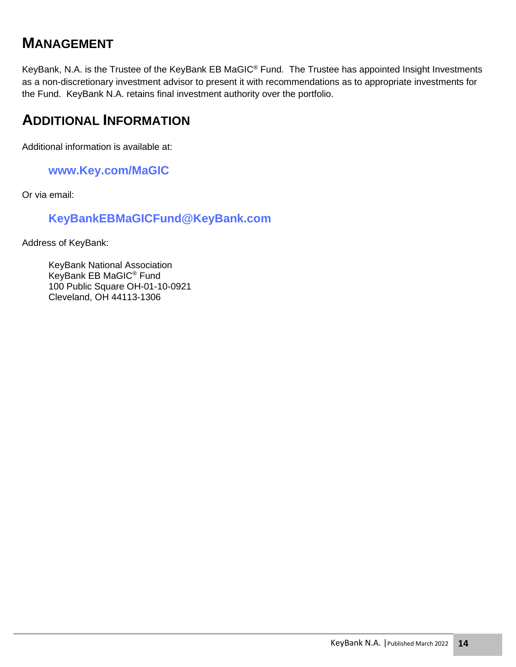#### **MANAGEMENT**

KeyBank, N.A. is the Trustee of the KeyBank EB MaGIC® Fund. The Trustee has appointed Insight Investments as a non-discretionary investment advisor to present it with recommendations as to appropriate investments for the Fund. KeyBank N.A. retains final investment authority over the portfolio.

#### **ADDITIONAL INFORMATION**

Additional information is available at:

#### **www.Key.com/MaGIC**

Or via email:

#### **KeyBankEBMaGICFund@KeyBank.com**

Address of KeyBank:

KeyBank National Association KeyBank EB MaGIC® Fund 100 Public Square OH-01-10-0921 Cleveland, OH 44113-1306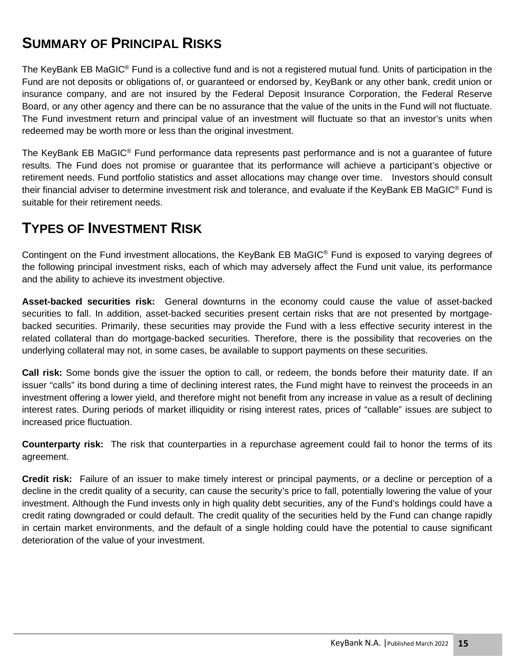# **SUMMARY OF PRINCIPAL RISKS**

The KeyBank EB MaGIC<sup>®</sup> Fund is a collective fund and is not a registered mutual fund. Units of participation in the Fund are not deposits or obligations of, or guaranteed or endorsed by, KeyBank or any other bank, credit union or insurance company, and are not insured by the Federal Deposit Insurance Corporation, the Federal Reserve Board, or any other agency and there can be no assurance that the value of the units in the Fund will not fluctuate. The Fund investment return and principal value of an investment will fluctuate so that an investor's units when redeemed may be worth more or less than the original investment.

The KeyBank EB MaGIC® Fund performance data represents past performance and is not a guarantee of future results. The Fund does not promise or guarantee that its performance will achieve a participant's objective or retirement needs. Fund portfolio statistics and asset allocations may change over time. Investors should consult their financial adviser to determine investment risk and tolerance, and evaluate if the KeyBank EB MaGIC® Fund is suitable for their retirement needs.

#### **TYPES OF INVESTMENT RISK**

Contingent on the Fund investment allocations, the KeyBank EB MaGIC® Fund is exposed to varying degrees of the following principal investment risks, each of which may adversely affect the Fund unit value, its performance and the ability to achieve its investment objective.

**Asset-backed securities risk:** General downturns in the economy could cause the value of asset-backed securities to fall. In addition, asset-backed securities present certain risks that are not presented by mortgagebacked securities. Primarily, these securities may provide the Fund with a less effective security interest in the related collateral than do mortgage-backed securities. Therefore, there is the possibility that recoveries on the underlying collateral may not, in some cases, be available to support payments on these securities.

**Call risk:** Some bonds give the issuer the option to call, or redeem, the bonds before their maturity date. If an issuer "calls" its bond during a time of declining interest rates, the Fund might have to reinvest the proceeds in an investment offering a lower yield, and therefore might not benefit from any increase in value as a result of declining interest rates. During periods of market illiquidity or rising interest rates, prices of "callable" issues are subject to increased price fluctuation.

**Counterparty risk:** The risk that counterparties in a repurchase agreement could fail to honor the terms of its agreement.

**Credit risk:** Failure of an issuer to make timely interest or principal payments, or a decline or perception of a decline in the credit quality of a security, can cause the security's price to fall, potentially lowering the value of your investment. Although the Fund invests only in high quality debt securities, any of the Fund's holdings could have a credit rating downgraded or could default. The credit quality of the securities held by the Fund can change rapidly in certain market environments, and the default of a single holding could have the potential to cause significant deterioration of the value of your investment.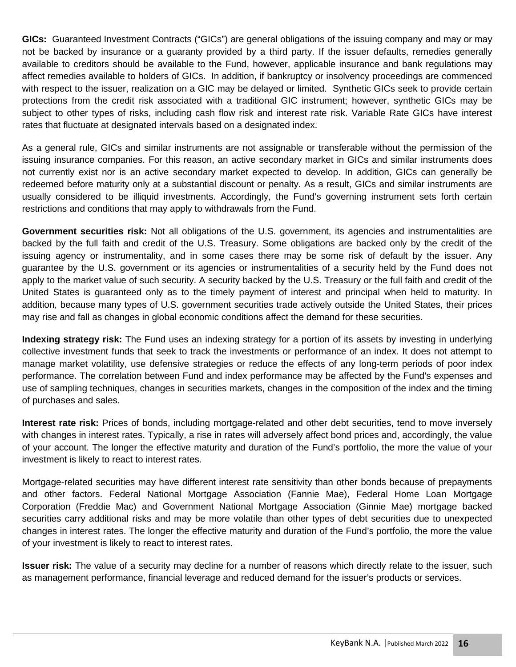**GICs:** Guaranteed Investment Contracts ("GICs") are general obligations of the issuing company and may or may not be backed by insurance or a guaranty provided by a third party. If the issuer defaults, remedies generally available to creditors should be available to the Fund, however, applicable insurance and bank regulations may affect remedies available to holders of GICs. In addition, if bankruptcy or insolvency proceedings are commenced with respect to the issuer, realization on a GIC may be delayed or limited. Synthetic GICs seek to provide certain protections from the credit risk associated with a traditional GIC instrument; however, synthetic GICs may be subject to other types of risks, including cash flow risk and interest rate risk. Variable Rate GICs have interest rates that fluctuate at designated intervals based on a designated index.

As a general rule, GICs and similar instruments are not assignable or transferable without the permission of the issuing insurance companies. For this reason, an active secondary market in GICs and similar instruments does not currently exist nor is an active secondary market expected to develop. In addition, GICs can generally be redeemed before maturity only at a substantial discount or penalty. As a result, GICs and similar instruments are usually considered to be illiquid investments. Accordingly, the Fund's governing instrument sets forth certain restrictions and conditions that may apply to withdrawals from the Fund.

**Government securities risk:** Not all obligations of the U.S. government, its agencies and instrumentalities are backed by the full faith and credit of the U.S. Treasury. Some obligations are backed only by the credit of the issuing agency or instrumentality, and in some cases there may be some risk of default by the issuer. Any guarantee by the U.S. government or its agencies or instrumentalities of a security held by the Fund does not apply to the market value of such security. A security backed by the U.S. Treasury or the full faith and credit of the United States is guaranteed only as to the timely payment of interest and principal when held to maturity. In addition, because many types of U.S. government securities trade actively outside the United States, their prices may rise and fall as changes in global economic conditions affect the demand for these securities.

**Indexing strategy risk:** The Fund uses an indexing strategy for a portion of its assets by investing in underlying collective investment funds that seek to track the investments or performance of an index. It does not attempt to manage market volatility, use defensive strategies or reduce the effects of any long-term periods of poor index performance. The correlation between Fund and index performance may be affected by the Fund's expenses and use of sampling techniques, changes in securities markets, changes in the composition of the index and the timing of purchases and sales.

**Interest rate risk:** Prices of bonds, including mortgage-related and other debt securities, tend to move inversely with changes in interest rates. Typically, a rise in rates will adversely affect bond prices and, accordingly, the value of your account. The longer the effective maturity and duration of the Fund's portfolio, the more the value of your investment is likely to react to interest rates.

Mortgage-related securities may have different interest rate sensitivity than other bonds because of prepayments and other factors. Federal National Mortgage Association (Fannie Mae), Federal Home Loan Mortgage Corporation (Freddie Mac) and Government National Mortgage Association (Ginnie Mae) mortgage backed securities carry additional risks and may be more volatile than other types of debt securities due to unexpected changes in interest rates. The longer the effective maturity and duration of the Fund's portfolio, the more the value of your investment is likely to react to interest rates.

**Issuer risk:** The value of a security may decline for a number of reasons which directly relate to the issuer, such as management performance, financial leverage and reduced demand for the issuer's products or services.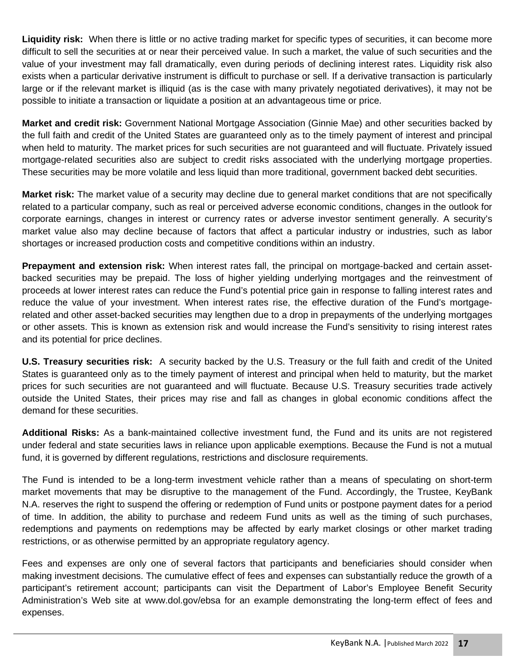**Liquidity risk:** When there is little or no active trading market for specific types of securities, it can become more difficult to sell the securities at or near their perceived value. In such a market, the value of such securities and the value of your investment may fall dramatically, even during periods of declining interest rates. Liquidity risk also exists when a particular derivative instrument is difficult to purchase or sell. If a derivative transaction is particularly large or if the relevant market is illiquid (as is the case with many privately negotiated derivatives), it may not be possible to initiate a transaction or liquidate a position at an advantageous time or price.

**Market and credit risk:** Government National Mortgage Association (Ginnie Mae) and other securities backed by the full faith and credit of the United States are guaranteed only as to the timely payment of interest and principal when held to maturity. The market prices for such securities are not guaranteed and will fluctuate. Privately issued mortgage-related securities also are subject to credit risks associated with the underlying mortgage properties. These securities may be more volatile and less liquid than more traditional, government backed debt securities.

**Market risk:** The market value of a security may decline due to general market conditions that are not specifically related to a particular company, such as real or perceived adverse economic conditions, changes in the outlook for corporate earnings, changes in interest or currency rates or adverse investor sentiment generally. A security's market value also may decline because of factors that affect a particular industry or industries, such as labor shortages or increased production costs and competitive conditions within an industry.

**Prepayment and extension risk:** When interest rates fall, the principal on mortgage-backed and certain assetbacked securities may be prepaid. The loss of higher yielding underlying mortgages and the reinvestment of proceeds at lower interest rates can reduce the Fund's potential price gain in response to falling interest rates and reduce the value of your investment. When interest rates rise, the effective duration of the Fund's mortgagerelated and other asset-backed securities may lengthen due to a drop in prepayments of the underlying mortgages or other assets. This is known as extension risk and would increase the Fund's sensitivity to rising interest rates and its potential for price declines.

**U.S. Treasury securities risk:** A security backed by the U.S. Treasury or the full faith and credit of the United States is guaranteed only as to the timely payment of interest and principal when held to maturity, but the market prices for such securities are not guaranteed and will fluctuate. Because U.S. Treasury securities trade actively outside the United States, their prices may rise and fall as changes in global economic conditions affect the demand for these securities.

**Additional Risks:** As a bank-maintained collective investment fund, the Fund and its units are not registered under federal and state securities laws in reliance upon applicable exemptions. Because the Fund is not a mutual fund, it is governed by different regulations, restrictions and disclosure requirements.

The Fund is intended to be a long-term investment vehicle rather than a means of speculating on short-term market movements that may be disruptive to the management of the Fund. Accordingly, the Trustee, KeyBank N.A. reserves the right to suspend the offering or redemption of Fund units or postpone payment dates for a period of time. In addition, the ability to purchase and redeem Fund units as well as the timing of such purchases, redemptions and payments on redemptions may be affected by early market closings or other market trading restrictions, or as otherwise permitted by an appropriate regulatory agency.

Fees and expenses are only one of several factors that participants and beneficiaries should consider when making investment decisions. The cumulative effect of fees and expenses can substantially reduce the growth of a participant's retirement account; participants can visit the Department of Labor's Employee Benefit Security Administration's Web site at www.dol.gov/ebsa for an example demonstrating the long-term effect of fees and expenses.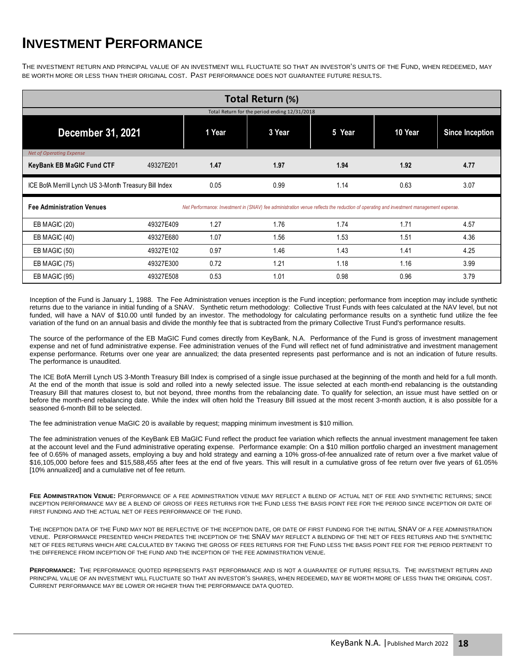#### **INVESTMENT PERFORMANCE**

THE INVESTMENT RETURN AND PRINCIPAL VALUE OF AN INVESTMENT WILL FLUCTUATE SO THAT AN INVESTOR'S UNITS OF THE FUND, WHEN REDEEMED, MAY BE WORTH MORE OR LESS THAN THEIR ORIGINAL COST. PAST PERFORMANCE DOES NOT GUARANTEE FUTURE RESULTS.

| Total Return (%)                                                                                                                                                          |           |        |        |        |         |                        |  |  |
|---------------------------------------------------------------------------------------------------------------------------------------------------------------------------|-----------|--------|--------|--------|---------|------------------------|--|--|
| Total Return for the period ending 12/31/2018                                                                                                                             |           |        |        |        |         |                        |  |  |
| December 31, 2021                                                                                                                                                         |           | 1 Year | 3 Year | 5 Year | 10 Year | <b>Since Inception</b> |  |  |
| Net of Operating Expense                                                                                                                                                  |           |        |        |        |         |                        |  |  |
| <b>KeyBank EB MaGIC Fund CTF</b>                                                                                                                                          | 49327E201 | 1.47   | 1.97   | 1.94   | 1.92    | 4.77                   |  |  |
| ICE BofA Merrill Lynch US 3-Month Treasury Bill Index                                                                                                                     |           | 0.05   | 0.99   | 1.14   | 0.63    | 3.07                   |  |  |
| <b>Fee Administration Venues</b><br>Net Performance: Investment in (SNAV) fee administration venue reflects the reduction of operating and investment management expense. |           |        |        |        |         |                        |  |  |
| EB MAGIC (20)                                                                                                                                                             | 49327E409 | 1.27   | 1.76   | 1.74   | 1.71    | 4.57                   |  |  |
| EB MAGIC (40)                                                                                                                                                             | 49327E680 | 1.07   | 1.56   | 1.53   | 1.51    | 4.36                   |  |  |
| EB MAGIC (50)                                                                                                                                                             | 49327E102 | 0.97   | 1.46   | 1.43   | 1.41    | 4.25                   |  |  |
| EB MAGIC (75)                                                                                                                                                             | 49327E300 | 0.72   | 1.21   | 1.18   | 1.16    | 3.99                   |  |  |
| EB MAGIC (95)                                                                                                                                                             | 49327E508 | 0.53   | 1.01   | 0.98   | 0.96    | 3.79                   |  |  |

Inception of the Fund is January 1, 1988. The Fee Administration venues inception is the Fund inception; performance from inception may include synthetic returns due to the variance in initial funding of a SNAV. Synthetic return methodology: Collective Trust Funds with fees calculated at the NAV level, but not funded, will have a NAV of \$10.00 until funded by an investor. The methodology for calculating performance results on a synthetic fund utilize the fee variation of the fund on an annual basis and divide the monthly fee that is subtracted from the primary Collective Trust Fund's performance results.

The source of the performance of the EB MaGIC Fund comes directly from KeyBank, N.A. Performance of the Fund is gross of investment management expense and net of fund administrative expense. Fee administration venues of the Fund will reflect net of fund administrative and investment management expense performance. Returns over one year are annualized; the data presented represents past performance and is not an indication of future results. The performance is unaudited.

The ICE BofA Merrill Lynch US 3-Month Treasury Bill Index is comprised of a single issue purchased at the beginning of the month and held for a full month. At the end of the month that issue is sold and rolled into a newly selected issue. The issue selected at each month-end rebalancing is the outstanding Treasury Bill that matures closest to, but not beyond, three months from the rebalancing date. To qualify for selection, an issue must have settled on or before the month-end rebalancing date. While the index will often hold the Treasury Bill issued at the most recent 3-month auction, it is also possible for a seasoned 6-month Bill to be selected.

The fee administration venue MaGIC 20 is available by request; mapping minimum investment is \$10 million.

The fee administration venues of the KeyBank EB MaGIC Fund reflect the product fee variation which reflects the annual investment management fee taken at the account level and the Fund administrative operating expense. Performance example: On a \$10 million portfolio charged an investment management fee of 0.65% of managed assets, employing a buy and hold strategy and earning a 10% gross-of-fee annualized rate of return over a five market value of \$16,105,000 before fees and \$15,588,455 after fees at the end of five years. This will result in a cumulative gross of fee return over five years of 61.05% [10% annualized] and a cumulative net of fee return.

FEE ADMINISTRATION VENUE: PERFORMANCE OF A FEE ADMINISTRATION VENUE MAY REFLECT A BLEND OF ACTUAL NET OF FEE AND SYNTHETIC RETURNS; SINCE INCEPTION PERFORMANCE MAY BE A BLEND OF GROSS OF FEES RETURNS FOR THE FUND LESS THE BASIS POINT FEE FOR THE PERIOD SINCE INCEPTION OR DATE OF FIRST FUNDING AND THE ACTUAL NET OF FEES PERFORMANCE OF THE FUND.

THE INCEPTION DATA OF THE FUND MAY NOT BE REFLECTIVE OF THE INCEPTION DATE, OR DATE OF FIRST FUNDING FOR THE INITIAL SNAV OF A FEE ADMINISTRATION VENUE. PERFORMANCE PRESENTED WHICH PREDATES THE INCEPTION OF THE SNAV MAY REFLECT A BLENDING OF THE NET OF FEES RETURNS AND THE SYNTHETIC NET OF FEES RETURNS WHICH ARE CALCULATED BY TAKING THE GROSS OF FEES RETURNS FOR THE FUND LESS THE BASIS POINT FEE FOR THE PERIOD PERTINENT TO THE DIFFERENCE FROM INCEPTION OF THE FUND AND THE INCEPTION OF THE FEE ADMINISTRATION VENUE.

**PERFORMANCE:** THE PERFORMANCE QUOTED REPRESENTS PAST PERFORMANCE AND IS NOT A GUARANTEE OF FUTURE RESULTS. THE INVESTMENT RETURN AND PRINCIPAL VALUE OF AN INVESTMENT WILL FLUCTUATE SO THAT AN INVESTOR'S SHARES, WHEN REDEEMED, MAY BE WORTH MORE OF LESS THAN THE ORIGINAL COST. CURRENT PERFORMANCE MAY BE LOWER OR HIGHER THAN THE PERFORMANCE DATA QUOTED.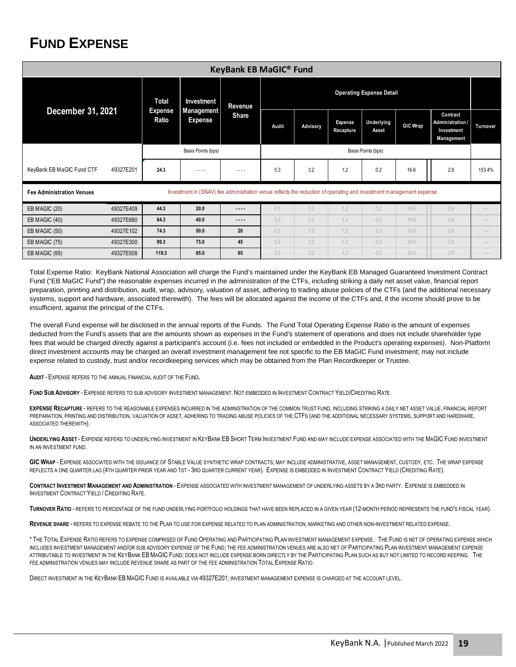# **FUND EXPENSE**

| <b>KeyBank EB MaGIC® Fund</b>                                                                                                                            |           |                                  |                                                   |                         |                                 |          |                             |                     |                 |                                                          |                 |
|----------------------------------------------------------------------------------------------------------------------------------------------------------|-----------|----------------------------------|---------------------------------------------------|-------------------------|---------------------------------|----------|-----------------------------|---------------------|-----------------|----------------------------------------------------------|-----------------|
| December 31, 2021                                                                                                                                        |           | Total<br><b>Expense</b><br>Ratio | Investment<br><b>Management</b><br><b>Expense</b> | Revenue<br><b>Share</b> | <b>Operating Expense Detail</b> |          |                             |                     |                 |                                                          |                 |
|                                                                                                                                                          |           |                                  |                                                   |                         | Audit                           | Advisory | <b>Expense</b><br>Recapture | Underlying<br>Asset | <b>GIC Wrap</b> | Contract<br>Administration /<br>Investment<br>Management | <b>Turnover</b> |
|                                                                                                                                                          |           | Basis Points (bps)               |                                                   |                         | Basis Points (bps)              |          |                             |                     |                 |                                                          |                 |
| KeyBank EB MaGIC Fund CTF                                                                                                                                | 49327E201 | 24.3                             | $- - - -$                                         | $\cdots$                | 0.3                             | 3.2      | 1.2                         | 0.2                 | 16.6            | 2.9                                                      | 153.4%          |
| Investment in (SNAV) fee administration venue reflects the reduction of operating and investment management expense.<br><b>Fee Administration Venues</b> |           |                                  |                                                   |                         |                                 |          |                             |                     |                 |                                                          |                 |
| EB MAGIC (20)                                                                                                                                            | 49327E409 | 44.3                             | 20.0                                              | $- - - -$               | 0.3                             | 3.2      | 1.2                         | 0.2                 | 16.6            | 2.9                                                      |                 |
| EB MAGIC (40)                                                                                                                                            | 49327E680 | 64.3                             | 40.0                                              | ----                    | 0.3                             | 3.2      | 1.2                         | 0.2                 | 16.6            | 2.9                                                      |                 |
| EB MAGIC (50)                                                                                                                                            | 49327E102 | 74.3                             | 50.0                                              | 20                      | 0.3                             | 3.2      | 1.2                         | 0.2                 | 16.6            | 2.9                                                      |                 |
| EB MAGIC (75)                                                                                                                                            | 49327E300 | 99.3                             | 75.0                                              | 45                      | 0.3                             | 3.2      | 1.2                         | 0.2                 | 16.6            | 2.9                                                      |                 |
| EB MAGIC (95)                                                                                                                                            | 49327E508 | 119.3                            | 95.0                                              | 65                      | 0.3                             | 3.2      | 1.2                         | 0.2                 | 16.6            | 2.9                                                      |                 |

Total Expense Ratio: KeyBank National Association will charge the Fund's maintained under the KeyBank EB Managed Guaranteed Investment Contract Fund ("EB MaGIC Fund") the reasonable expenses incurred in the administration of the CTFs, including striking a daily net asset value, financial report preparation, printing and distribution, audit, wrap, advisory, valuation of asset, adhering to trading abuse policies of the CTFs (and the additional necessary systems, support and hardware, associated therewith). The fees will be allocated against the income of the CTFs and, if the income should prove to be insufficient, against the principal of the CTFs.

The overall Fund expense will be disclosed in the annual reports of the Funds. The Fund Total Operating Expense Ratio is the amount of expenses deducted from the Fund's assets that are the amounts shown as expenses in the Fund's statement of operations and does not include shareholder type fees that would be charged directly against a participant's account (i.e. fees not included or embedded in the Product's operating expenses). Non-Platform direct investment accounts may be charged an overall investment management fee not specific to the EB MaGIC Fund investment; may not include expense related to custody, trust and/or recordkeeping services which may be obtained from the Plan Recordkeeper or Trustee.

**AUDIT** - EXPENSE REFERS TO THE ANNUAL FINANCIAL AUDIT OF THE FUND**.** 

**FUND SUB ADVISORY** - EXPENSE REFERS TO SUB ADVISORY INVESTMENT MANAGEMENT. NOT EMBEDDED IN INVESTMENT CONTRACT YIELD/CREDITING RATE.

**EXPENSE RECAPTURE** - REFERS TO THE REASONABLE EXPENSES INCURRED IN THE ADMINISTRATION OF THE COMMON TRUST FUND, INCLUDING STRIKING A DAILY NET ASSET VALUE, FINANCIAL REPORT PREPARATION, PRINTING AND DISTRIBUTION, VALUATION OF ASSET, ADHERING TO TRADING ABUSE POLICIES OF THE CTFS (AND THE ADDITIONAL NECESSARY SYSTEMS, SUPPORT AND HARDWARE, ASSOCIATED THEREWITH).

**UNDERLYING ASSET** - EXPENSE REFERS TO UNDERLYING INVESTMENT IN KEYBANK EB SHORT TERM INVESTMENT FUND AND MAY INCLUDE EXPENSE ASSOCIATED WITH THE MAGIC FUND INVESTMENT IN AN INVESTMENT FUND.

**GIC WRAP** - EXPENSE ASSOCIATED WITH THE ISSUANCE OF STABLE VALUE SYNTHETIC WRAP CONTRACTS; MAY INCLUDE ADMINISTRATIVE, ASSET MANAGEMENT, CUSTODY, ETC. THE WRAP EXPENSE REFLECTS A ONE QUARTER LAG (4TH QUARTER PRIOR YEAR AND 1ST - 3RD QUARTER CURRENT YEAR). EXPENSE IS EMBEDDED IN INVESTMENT CONTRACT YIELD (CREDITING RATE).

**CONTRACT INVESTMENT MANAGEMENT AND ADMINISTRATION** - EXPENSE ASSOCIATED WITH INVESTMENT MANAGEMENT OF UNDERLYING ASSETS BY A 3RD PARTY. EXPENSE IS EMBEDDED IN INVESTMENT CONTRACT YIELD / CREDITING RATE.

**TURNOVER RATIO** - REFERS TO PERCENTAGE OF THE FUND UNDERLYING PORTFOLIO HOLDINGS THAT HAVE BEEN REPLACED IN A GIVEN YEAR (12-MONTH PERIOD REPRESENTS THE FUND'S FISCAL YEAR).

**REVENUE SHARE** - REFERS TO EXPENSE REBATE TO THE PLAN TO USE FOR EXPENSE RELATED TO PLAN ADMINISTRATION, MARKETING AND OTHER NON-INVESTMENT RELATED EXPENSE.

\* THE TOTAL EXPENSE RATIO REFERS TO EXPENSE COMPRISED OF FUND OPERATING AND PARTICIPATING PLAN INVESTMENT MANAGEMENT EXPENSE. THE FUND IS NET OF OPERATING EXPENSE WHICH INCLUDES INVESTMENT MANAGEMENT AND/OR SUB ADVISORY EXPENSE OF THE FUND; THE FEE ADMINISTRATION VENUES ARE ALSO NET OF PARTICIPATING PLAN INVESTMENT MANAGEMENT EXPENSE ATTRIBUTABLE TO INVESTMENT IN THE KEYBANK EB MAGIC FUND; DOES NOT INCLUDE EXPENSE BORN DIRECTLY BY THE PARTICIPATING PLAN SUCH AS BUT NOT LIMITED TO RECORD KEEPING. THE FEE ADMINISTRATION VENUES MAY INCLUDE REVENUE SHARE AS PART OF THE FEE ADMINISTRATION TOTAL EXPENSE RATIO.

DIRECT INVESTMENT IN THE KEYBANK EB MAGIC FUND IS AVAILABLE VIA 49327E201; INVESTMENT MANAGEMENT EXPENSE IS CHARGED AT THE ACCOUNT LEVEL.